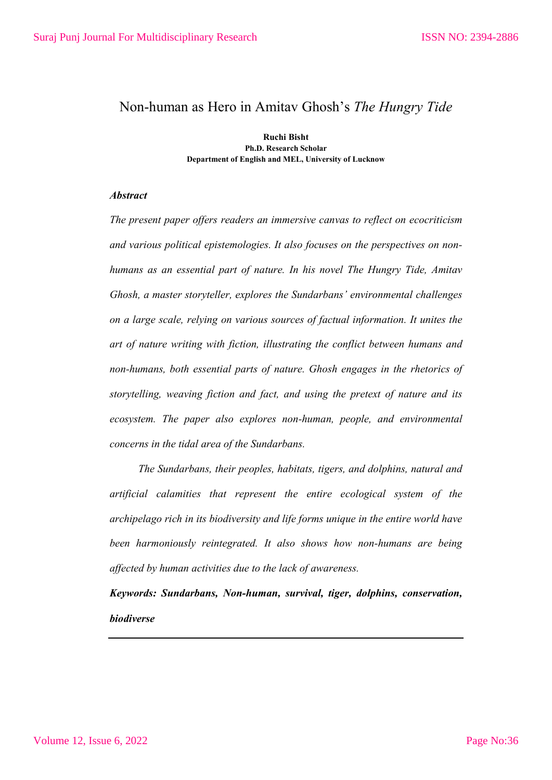## Non-human as Hero in Amitav Ghosh's *The Hungry Tide*

**Ruchi Bisht Ph.D. Research Scholar Department of English and MEL, University of Lucknow**

## *Abstract*

*The present paper offers readers an immersive canvas to reflect on ecocriticism and various political epistemologies. It also focuses on the perspectives on nonhumans as an essential part of nature. In his novel The Hungry Tide, Amitav Ghosh, a master storyteller, explores the Sundarbans' environmental challenges on a large scale, relying on various sources of factual information. It unites the art of nature writing with fiction, illustrating the conflict between humans and non-humans, both essential parts of nature. Ghosh engages in the rhetorics of storytelling, weaving fiction and fact, and using the pretext of nature and its ecosystem. The paper also explores non-human, people, and environmental concerns in the tidal area of the Sundarbans.*

*The Sundarbans, their peoples, habitats, tigers, and dolphins, natural and artificial calamities that represent the entire ecological system of the archipelago rich in its biodiversity and life forms unique in the entire world have been harmoniously reintegrated. It also shows how non-humans are being affected by human activities due to the lack of awareness.*

*Keywords: Sundarbans, Non-human, survival, tiger, dolphins, conservation, biodiverse*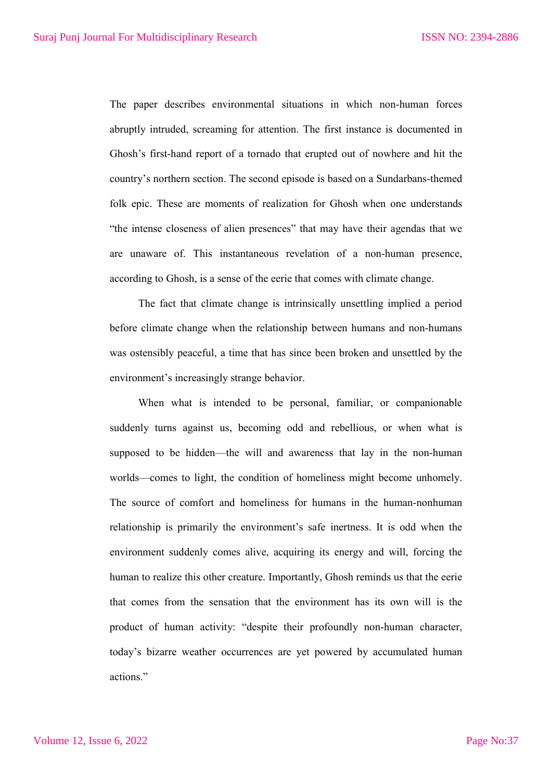The paper describes environmental situations in which non-human forces abruptly intruded, screaming for attention. The first instance is documented in Ghosh's first-hand report of a tornado that erupted out of nowhere and hit the country's northern section. The second episode is based on a Sundarbans-themed folk epic. These are moments of realization for Ghosh when one understands "the intense closeness of alien presences" that may have their agendas that we are unaware of. This instantaneous revelation of a non-human presence, according to Ghosh, is a sense of the eerie that comes with climate change.

The fact that climate change is intrinsically unsettling implied a period before climate change when the relationship between humans and non-humans was ostensibly peaceful, a time that has since been broken and unsettled by the environment's increasingly strange behavior.

When what is intended to be personal, familiar, or companionable suddenly turns against us, becoming odd and rebellious, or when what is supposed to be hidden—the will and awareness that lay in the non-human worlds—comes to light, the condition of homeliness might become unhomely. The source of comfort and homeliness for humans in the human-nonhuman relationship is primarily the environment's safe inertness. It is odd when the environment suddenly comes alive, acquiring its energy and will, forcing the human to realize this other creature. Importantly, Ghosh reminds us that the eerie that comes from the sensation that the environment has its own will is the product of human activity: "despite their profoundly non-human character, today's bizarre weather occurrences are yet powered by accumulated human actions."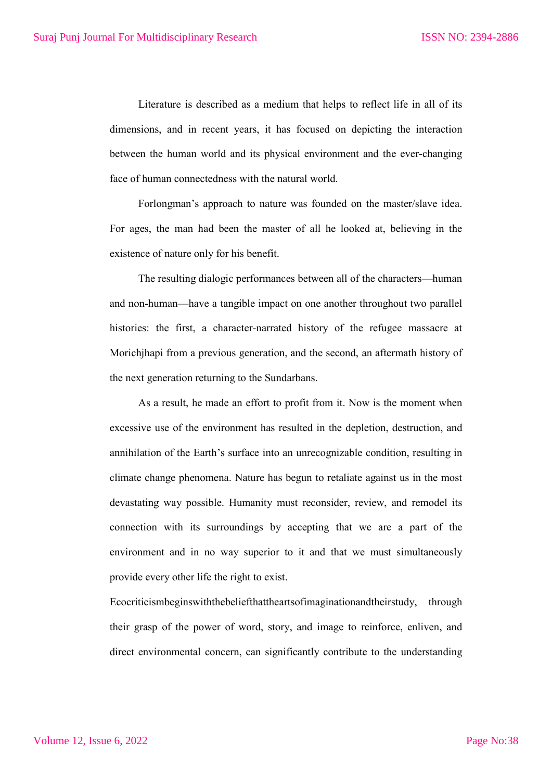Literature is described as a medium that helps to reflect life in all of its dimensions, and in recent years, it has focused on depicting the interaction between the human world and its physical environment and the ever-changing face of human connectedness with the natural world.

Forlongman's approach to nature was founded on the master/slave idea. For ages, the man had been the master of all he looked at, believing in the existence of nature only for his benefit.

The resulting dialogic performances between all of the characters—human and non-human—have a tangible impact on one another throughout two parallel histories: the first, a character-narrated history of the refugee massacre at Morichjhapi from a previous generation, and the second, an aftermath history of the next generation returning to the Sundarbans.

As a result, he made an effort to profit from it. Now is the moment when excessive use of the environment has resulted in the depletion, destruction, and annihilation of the Earth's surface into an unrecognizable condition, resulting in climate change phenomena. Nature has begun to retaliate against us in the most devastating way possible. Humanity must reconsider, review, and remodel its connection with its surroundings by accepting that we are a part of the environment and in no way superior to it and that we must simultaneously provide every other life the right to exist.

Ecocriticismbeginswiththebeliefthattheartsofimaginationandtheirstudy, through their grasp of the power of word, story, and image to reinforce, enliven, and direct environmental concern, can significantly contribute to the understanding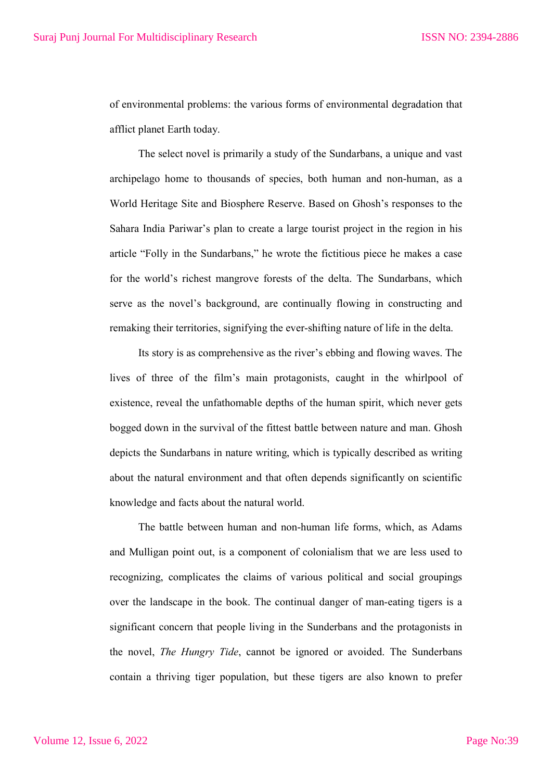of environmental problems: the various forms of environmental degradation that afflict planet Earth today.

The select novel is primarily a study of the Sundarbans, a unique and vast archipelago home to thousands of species, both human and non-human, as a World Heritage Site and Biosphere Reserve. Based on Ghosh's responses to the Sahara India Pariwar's plan to create a large tourist project in the region in his article "Folly in the Sundarbans," he wrote the fictitious piece he makes a case for the world's richest mangrove forests of the delta. The Sundarbans, which serve as the novel's background, are continually flowing in constructing and remaking their territories, signifying the ever-shifting nature of life in the delta.

Its story is as comprehensive as the river's ebbing and flowing waves. The lives of three of the film's main protagonists, caught in the whirlpool of existence, reveal the unfathomable depths of the human spirit, which never gets bogged down in the survival of the fittest battle between nature and man. Ghosh depicts the Sundarbans in nature writing, which is typically described as writing about the natural environment and that often depends significantly on scientific knowledge and facts about the natural world.

The battle between human and non-human life forms, which, as Adams and Mulligan point out, is a component of colonialism that we are less used to recognizing, complicates the claims of various political and social groupings over the landscape in the book. The continual danger of man-eating tigers is a significant concern that people living in the Sunderbans and the protagonists in the novel, *The Hungry Tide*, cannot be ignored or avoided. The Sunderbans contain a thriving tiger population, but these tigers are also known to prefer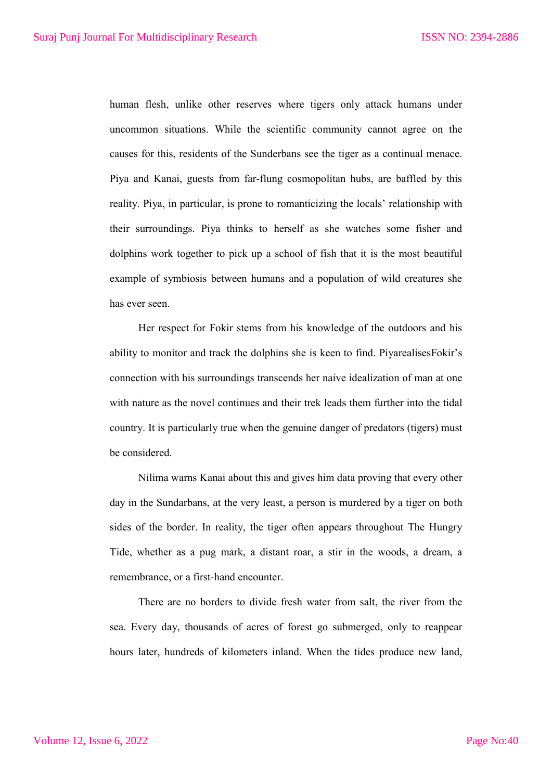human flesh, unlike other reserves where tigers only attack humans under uncommon situations. While the scientific community cannot agree on the causes for this, residents of the Sunderbans see the tiger as a continual menace. Piya and Kanai, guests from far-flung cosmopolitan hubs, are baffled by this reality. Piya, in particular, is prone to romanticizing the locals' relationship with their surroundings. Piya thinks to herself as she watches some fisher and dolphins work together to pick up a school of fish that it is the most beautiful example of symbiosis between humans and a population of wild creatures she has ever seen.

Her respect for Fokir stems from his knowledge of the outdoors and his ability to monitor and track the dolphins she is keen to find. PiyarealisesFokir's connection with his surroundings transcends her naive idealization of man at one with nature as the novel continues and their trek leads them further into the tidal country. It is particularly true when the genuine danger of predators (tigers) must be considered.

Nilima warns Kanai about this and gives him data proving that every other day in the Sundarbans, at the very least, a person is murdered by a tiger on both sides of the border. In reality, the tiger often appears throughout The Hungry Tide, whether as a pug mark, a distant roar, a stir in the woods, a dream, a remembrance, or a first-hand encounter.

There are no borders to divide fresh water from salt, the river from the sea. Every day, thousands of acres of forest go submerged, only to reappear hours later, hundreds of kilometers inland. When the tides produce new land,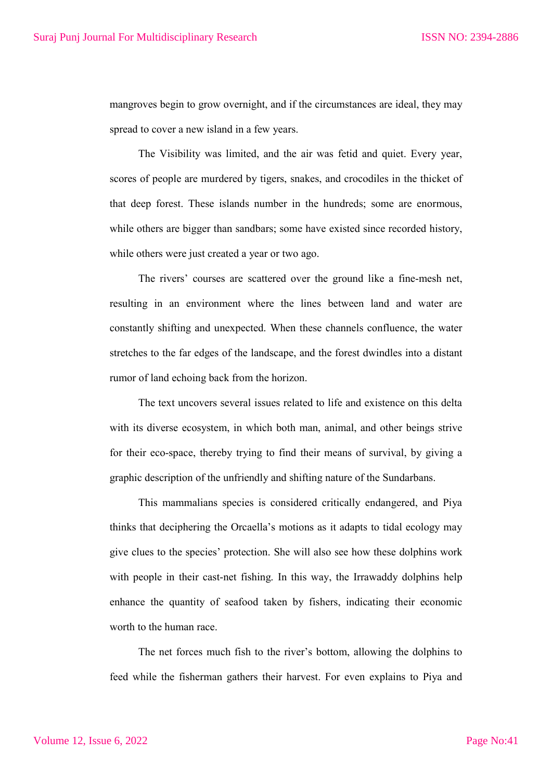mangroves begin to grow overnight, and if the circumstances are ideal, they may spread to cover a new island in a few years.

The Visibility was limited, and the air was fetid and quiet. Every year, scores of people are murdered by tigers, snakes, and crocodiles in the thicket of that deep forest. These islands number in the hundreds; some are enormous, while others are bigger than sandbars; some have existed since recorded history, while others were just created a year or two ago.

The rivers' courses are scattered over the ground like a fine-mesh net, resulting in an environment where the lines between land and water are constantly shifting and unexpected. When these channels confluence, the water stretches to the far edges of the landscape, and the forest dwindles into a distant rumor of land echoing back from the horizon.

The text uncovers several issues related to life and existence on this delta with its diverse ecosystem, in which both man, animal, and other beings strive for their eco-space, thereby trying to find their means of survival, by giving a graphic description of the unfriendly and shifting nature of the Sundarbans.

This mammalians species is considered critically endangered, and Piya thinks that deciphering the Orcaella's motions as it adapts to tidal ecology may give clues to the species' protection. She will also see how these dolphins work with people in their cast-net fishing. In this way, the Irrawaddy dolphins help enhance the quantity of seafood taken by fishers, indicating their economic worth to the human race.

The net forces much fish to the river's bottom, allowing the dolphins to feed while the fisherman gathers their harvest. For even explains to Piya and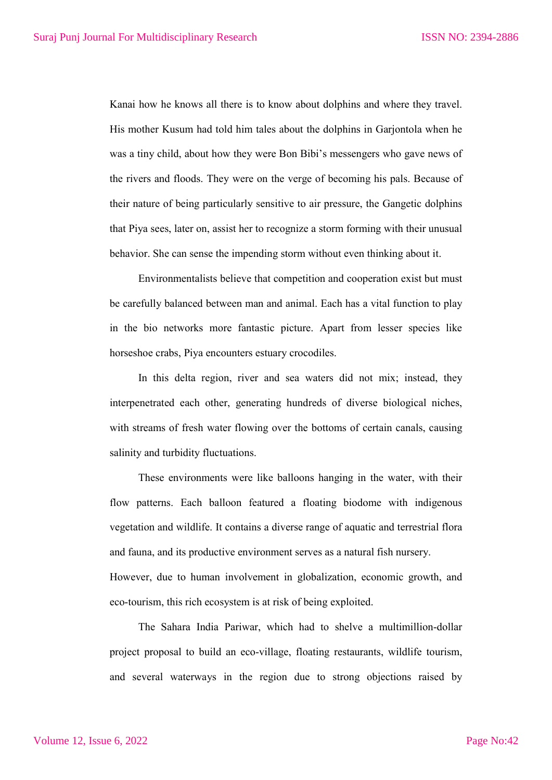Kanai how he knows all there is to know about dolphins and where they travel. His mother Kusum had told him tales about the dolphins in Garjontola when he was a tiny child, about how they were Bon Bibi's messengers who gave news of the rivers and floods. They were on the verge of becoming his pals. Because of their nature of being particularly sensitive to air pressure, the Gangetic dolphins that Piya sees, later on, assist her to recognize a storm forming with their unusual behavior. She can sense the impending storm without even thinking about it.

Environmentalists believe that competition and cooperation exist but must be carefully balanced between man and animal. Each has a vital function to play in the bio networks more fantastic picture. Apart from lesser species like horseshoe crabs, Piya encounters estuary crocodiles.

In this delta region, river and sea waters did not mix; instead, they interpenetrated each other, generating hundreds of diverse biological niches, with streams of fresh water flowing over the bottoms of certain canals, causing salinity and turbidity fluctuations.

These environments were like balloons hanging in the water, with their flow patterns. Each balloon featured a floating biodome with indigenous vegetation and wildlife. It contains a diverse range of aquatic and terrestrial flora and fauna, and its productive environment serves as a natural fish nursery. However, due to human involvement in globalization, economic growth, and eco-tourism, this rich ecosystem is at risk of being exploited.

The Sahara India Pariwar, which had to shelve a multimillion-dollar project proposal to build an eco-village, floating restaurants, wildlife tourism, and several waterways in the region due to strong objections raised by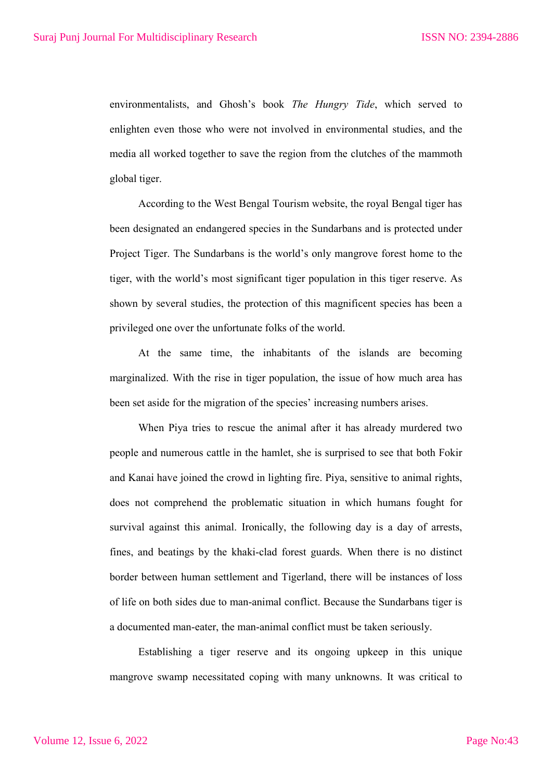environmentalists, and Ghosh's book *The Hungry Tide*, which served to enlighten even those who were not involved in environmental studies, and the media all worked together to save the region from the clutches of the mammoth global tiger.

According to the West Bengal Tourism website, the royal Bengal tiger has been designated an endangered species in the Sundarbans and is protected under Project Tiger. The Sundarbans is the world's only mangrove forest home to the tiger, with the world's most significant tiger population in this tiger reserve. As shown by several studies, the protection of this magnificent species has been a privileged one over the unfortunate folks of the world.

At the same time, the inhabitants of the islands are becoming marginalized. With the rise in tiger population, the issue of how much area has been set aside for the migration of the species' increasing numbers arises.

When Piya tries to rescue the animal after it has already murdered two people and numerous cattle in the hamlet, she is surprised to see that both Fokir and Kanai have joined the crowd in lighting fire. Piya, sensitive to animal rights, does not comprehend the problematic situation in which humans fought for survival against this animal. Ironically, the following day is a day of arrests, fines, and beatings by the khaki-clad forest guards. When there is no distinct border between human settlement and Tigerland, there will be instances of loss of life on both sides due to man-animal conflict. Because the Sundarbans tiger is a documented man-eater, the man-animal conflict must be taken seriously.

Establishing a tiger reserve and its ongoing upkeep in this unique mangrove swamp necessitated coping with many unknowns. It was critical to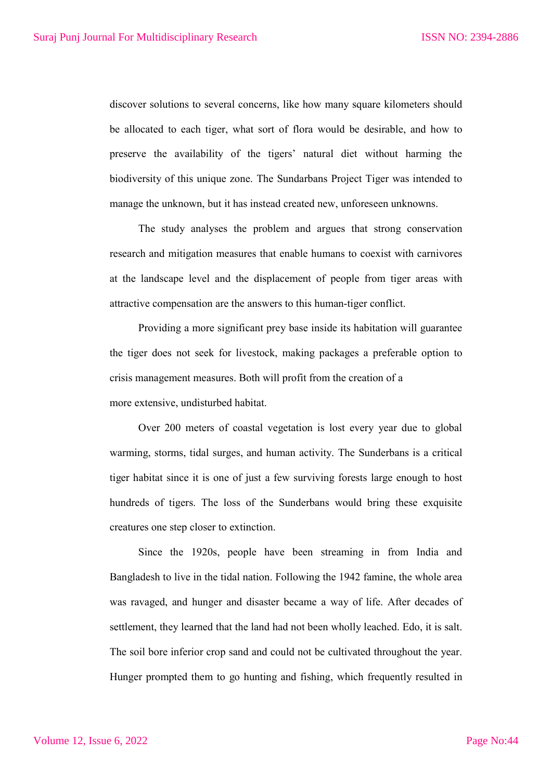discover solutions to several concerns, like how many square kilometers should be allocated to each tiger, what sort of flora would be desirable, and how to preserve the availability of the tigers' natural diet without harming the biodiversity of this unique zone. The Sundarbans Project Tiger was intended to manage the unknown, but it has instead created new, unforeseen unknowns.

The study analyses the problem and argues that strong conservation research and mitigation measures that enable humans to coexist with carnivores at the landscape level and the displacement of people from tiger areas with attractive compensation are the answers to this human-tiger conflict.

Providing a more significant prey base inside its habitation will guarantee the tiger does not seek for livestock, making packages a preferable option to crisis management measures. Both will profit from the creation of a more extensive, undisturbed habitat.

Over 200 meters of coastal vegetation is lost every year due to global warming, storms, tidal surges, and human activity. The Sunderbans is a critical tiger habitat since it is one of just a few surviving forests large enough to host hundreds of tigers. The loss of the Sunderbans would bring these exquisite creatures one step closer to extinction.

Since the 1920s, people have been streaming in from India and Bangladesh to live in the tidal nation. Following the 1942 famine, the whole area was ravaged, and hunger and disaster became a way of life. After decades of settlement, they learned that the land had not been wholly leached. Edo, it is salt. The soil bore inferior crop sand and could not be cultivated throughout the year. Hunger prompted them to go hunting and fishing, which frequently resulted in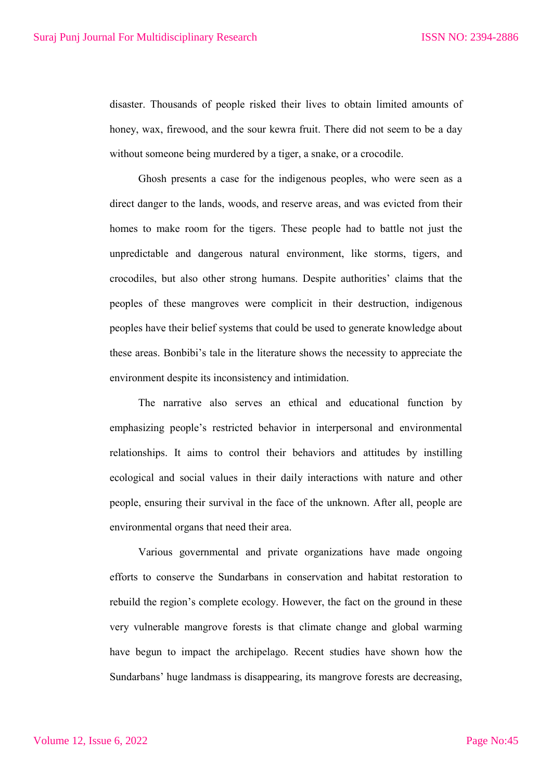disaster. Thousands of people risked their lives to obtain limited amounts of honey, wax, firewood, and the sour kewra fruit. There did not seem to be a day without someone being murdered by a tiger, a snake, or a crocodile.

Ghosh presents a case for the indigenous peoples, who were seen as a direct danger to the lands, woods, and reserve areas, and was evicted from their homes to make room for the tigers. These people had to battle not just the unpredictable and dangerous natural environment, like storms, tigers, and crocodiles, but also other strong humans. Despite authorities' claims that the peoples of these mangroves were complicit in their destruction, indigenous peoples have their belief systems that could be used to generate knowledge about these areas. Bonbibi's tale in the literature shows the necessity to appreciate the environment despite its inconsistency and intimidation.

The narrative also serves an ethical and educational function by emphasizing people's restricted behavior in interpersonal and environmental relationships. It aims to control their behaviors and attitudes by instilling ecological and social values in their daily interactions with nature and other people, ensuring their survival in the face of the unknown. After all, people are environmental organs that need their area.

Various governmental and private organizations have made ongoing efforts to conserve the Sundarbans in conservation and habitat restoration to rebuild the region's complete ecology. However, the fact on the ground in these very vulnerable mangrove forests is that climate change and global warming have begun to impact the archipelago. Recent studies have shown how the Sundarbans' huge landmass is disappearing, its mangrove forests are decreasing,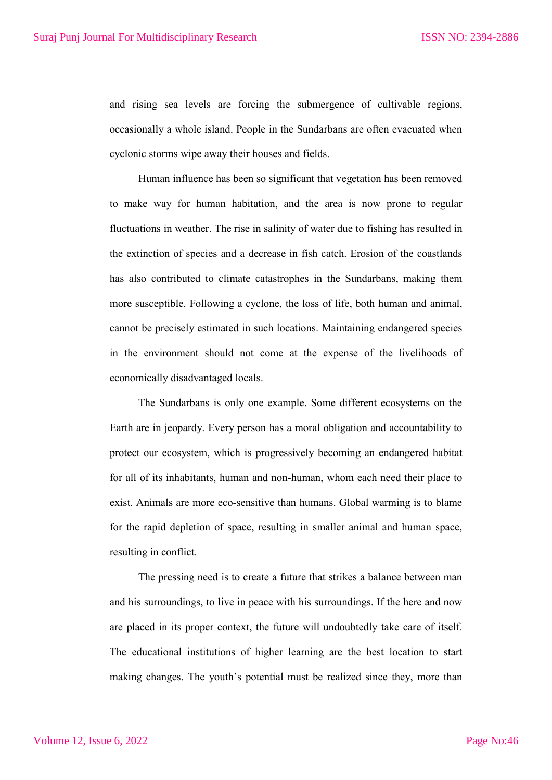and rising sea levels are forcing the submergence of cultivable regions, occasionally a whole island. People in the Sundarbans are often evacuated when cyclonic storms wipe away their houses and fields.

Human influence has been so significant that vegetation has been removed to make way for human habitation, and the area is now prone to regular fluctuations in weather. The rise in salinity of water due to fishing has resulted in the extinction of species and a decrease in fish catch. Erosion of the coastlands has also contributed to climate catastrophes in the Sundarbans, making them more susceptible. Following a cyclone, the loss of life, both human and animal, cannot be precisely estimated in such locations. Maintaining endangered species in the environment should not come at the expense of the livelihoods of economically disadvantaged locals.

The Sundarbans is only one example. Some different ecosystems on the Earth are in jeopardy. Every person has a moral obligation and accountability to protect our ecosystem, which is progressively becoming an endangered habitat for all of its inhabitants, human and non-human, whom each need their place to exist. Animals are more eco-sensitive than humans. Global warming is to blame for the rapid depletion of space, resulting in smaller animal and human space, resulting in conflict.

The pressing need is to create a future that strikes a balance between man and his surroundings, to live in peace with his surroundings. If the here and now are placed in its proper context, the future will undoubtedly take care of itself. The educational institutions of higher learning are the best location to start making changes. The youth's potential must be realized since they, more than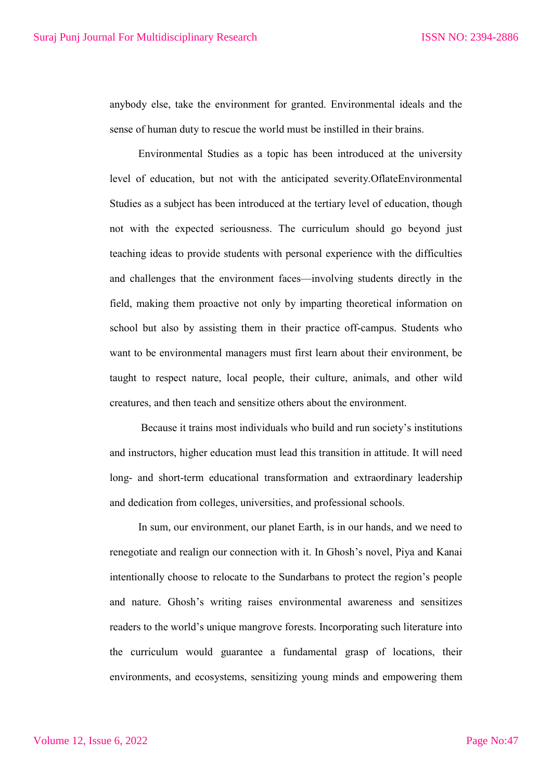anybody else, take the environment for granted. Environmental ideals and the sense of human duty to rescue the world must be instilled in their brains.

Environmental Studies as a topic has been introduced at the university level of education, but not with the anticipated severity.OflateEnvironmental Studies as a subject has been introduced at the tertiary level of education, though not with the expected seriousness. The curriculum should go beyond just teaching ideas to provide students with personal experience with the difficulties and challenges that the environment faces—involving students directly in the field, making them proactive not only by imparting theoretical information on school but also by assisting them in their practice off-campus. Students who want to be environmental managers must first learn about their environment, be taught to respect nature, local people, their culture, animals, and other wild creatures, and then teach and sensitize others about the environment.

Because it trains most individuals who build and run society's institutions and instructors, higher education must lead this transition in attitude. It will need long- and short-term educational transformation and extraordinary leadership and dedication from colleges, universities, and professional schools.

In sum, our environment, our planet Earth, is in our hands, and we need to renegotiate and realign our connection with it. In Ghosh's novel, Piya and Kanai intentionally choose to relocate to the Sundarbans to protect the region's people and nature. Ghosh's writing raises environmental awareness and sensitizes readers to the world's unique mangrove forests. Incorporating such literature into the curriculum would guarantee a fundamental grasp of locations, their environments, and ecosystems, sensitizing young minds and empowering them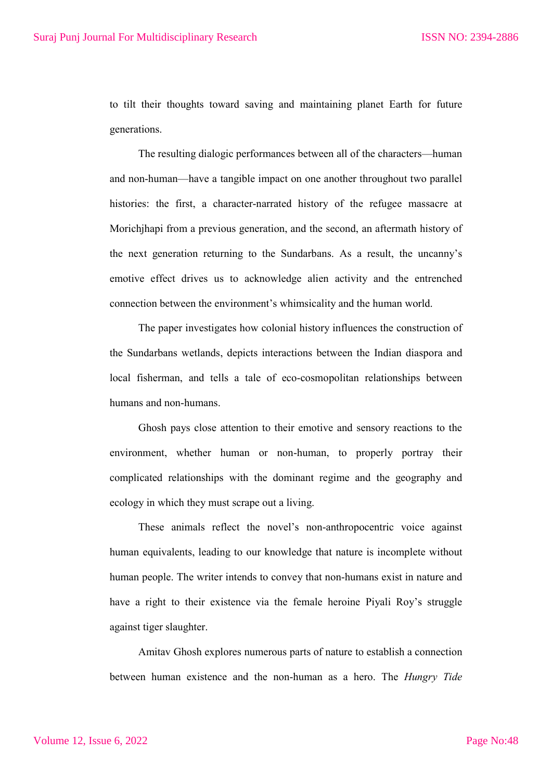to tilt their thoughts toward saving and maintaining planet Earth for future generations.

The resulting dialogic performances between all of the characters—human and non-human—have a tangible impact on one another throughout two parallel histories: the first, a character-narrated history of the refugee massacre at Morichjhapi from a previous generation, and the second, an aftermath history of the next generation returning to the Sundarbans. As a result, the uncanny's emotive effect drives us to acknowledge alien activity and the entrenched connection between the environment's whimsicality and the human world.

The paper investigates how colonial history influences the construction of the Sundarbans wetlands, depicts interactions between the Indian diaspora and local fisherman, and tells a tale of eco-cosmopolitan relationships between humans and non-humans.

Ghosh pays close attention to their emotive and sensory reactions to the environment, whether human or non-human, to properly portray their complicated relationships with the dominant regime and the geography and ecology in which they must scrape out a living.

These animals reflect the novel's non-anthropocentric voice against human equivalents, leading to our knowledge that nature is incomplete without human people. The writer intends to convey that non-humans exist in nature and have a right to their existence via the female heroine Piyali Roy's struggle against tiger slaughter.

Amitav Ghosh explores numerous parts of nature to establish a connection between human existence and the non-human as a hero. The *Hungry Tide*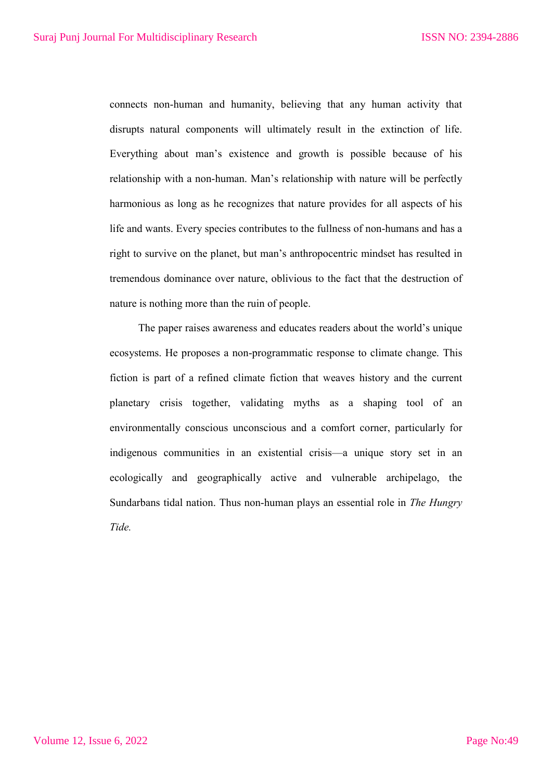connects non-human and humanity, believing that any human activity that disrupts natural components will ultimately result in the extinction of life. Everything about man's existence and growth is possible because of his relationship with a non-human. Man's relationship with nature will be perfectly harmonious as long as he recognizes that nature provides for all aspects of his life and wants. Every species contributes to the fullness of non-humans and has a right to survive on the planet, but man's anthropocentric mindset has resulted in tremendous dominance over nature, oblivious to the fact that the destruction of nature is nothing more than the ruin of people.

The paper raises awareness and educates readers about the world's unique ecosystems. He proposes a non-programmatic response to climate change. This fiction is part of a refined climate fiction that weaves history and the current planetary crisis together, validating myths as a shaping tool of an environmentally conscious unconscious and a comfort corner, particularly for indigenous communities in an existential crisis—a unique story set in an ecologically and geographically active and vulnerable archipelago, the Sundarbans tidal nation. Thus non-human plays an essential role in *The Hungry Tide.*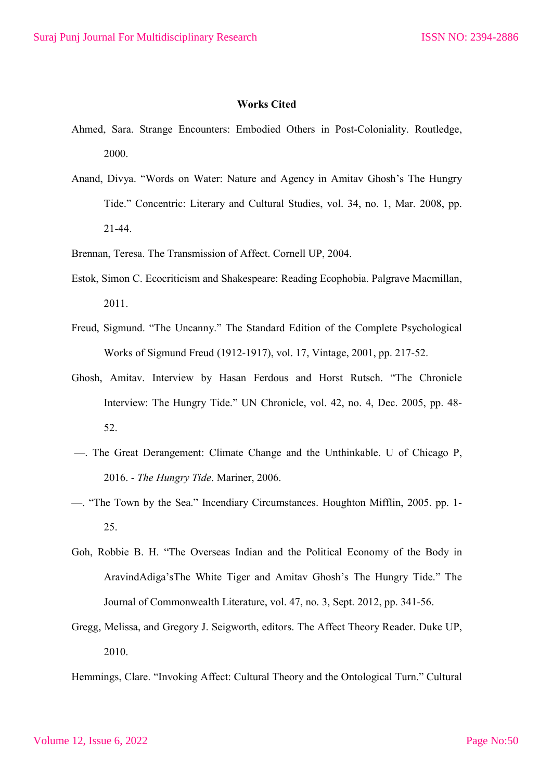## **Works Cited**

- Ahmed, Sara. Strange Encounters: Embodied Others in Post-Coloniality. Routledge, 2000.
- Anand, Divya. "Words on Water: Nature and Agency in Amitav Ghosh's The Hungry Tide." Concentric: Literary and Cultural Studies, vol. 34, no. 1, Mar. 2008, pp. 21-44.
- Brennan, Teresa. The Transmission of Affect. Cornell UP, 2004.
- Estok, Simon C. Ecocriticism and Shakespeare: Reading Ecophobia. Palgrave Macmillan, 2011.
- Freud, Sigmund. "The Uncanny." The Standard Edition of the Complete Psychological Works of Sigmund Freud (1912-1917), vol. 17, Vintage, 2001, pp. 217-52.
- Ghosh, Amitav. Interview by Hasan Ferdous and Horst Rutsch. "The Chronicle Interview: The Hungry Tide." UN Chronicle, vol. 42, no. 4, Dec. 2005, pp. 48- 52.
- —. The Great Derangement: Climate Change and the Unthinkable. U of Chicago P, 2016. - *The Hungry Tide*. Mariner, 2006.
- —. "The Town by the Sea." Incendiary Circumstances. Houghton Mifflin, 2005. pp. 1- 25.
- Goh, Robbie B. H. "The Overseas Indian and the Political Economy of the Body in AravindAdiga'sThe White Tiger and Amitav Ghosh's The Hungry Tide." The Journal of Commonwealth Literature, vol. 47, no. 3, Sept. 2012, pp. 341-56.
- Gregg, Melissa, and Gregory J. Seigworth, editors. The Affect Theory Reader. Duke UP, 2010.

Hemmings, Clare. "Invoking Affect: Cultural Theory and the Ontological Turn." Cultural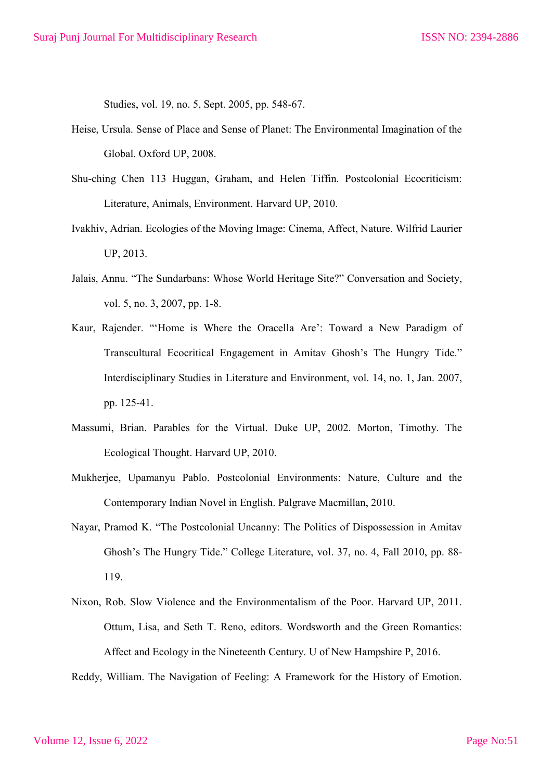Studies, vol. 19, no. 5, Sept. 2005, pp. 548-67.

- Heise, Ursula. Sense of Place and Sense of Planet: The Environmental Imagination of the Global. Oxford UP, 2008.
- Shu-ching Chen 113 Huggan, Graham, and Helen Tiffin. Postcolonial Ecocriticism: Literature, Animals, Environment. Harvard UP, 2010.
- Ivakhiv, Adrian. Ecologies of the Moving Image: Cinema, Affect, Nature. Wilfrid Laurier UP, 2013.
- Jalais, Annu. "The Sundarbans: Whose World Heritage Site?" Conversation and Society, vol. 5, no. 3, 2007, pp. 1-8.
- Kaur, Rajender. "'Home is Where the Oracella Are': Toward a New Paradigm of Transcultural Ecocritical Engagement in Amitav Ghosh's The Hungry Tide." Interdisciplinary Studies in Literature and Environment, vol. 14, no. 1, Jan. 2007, pp. 125-41.
- Massumi, Brian. Parables for the Virtual. Duke UP, 2002. Morton, Timothy. The Ecological Thought. Harvard UP, 2010.
- Mukherjee, Upamanyu Pablo. Postcolonial Environments: Nature, Culture and the Contemporary Indian Novel in English. Palgrave Macmillan, 2010.
- Nayar, Pramod K. "The Postcolonial Uncanny: The Politics of Dispossession in Amitav Ghosh's The Hungry Tide." College Literature, vol. 37, no. 4, Fall 2010, pp. 88- 119.
- Nixon, Rob. Slow Violence and the Environmentalism of the Poor. Harvard UP, 2011. Ottum, Lisa, and Seth T. Reno, editors. Wordsworth and the Green Romantics: Affect and Ecology in the Nineteenth Century. U of New Hampshire P, 2016.

Reddy, William. The Navigation of Feeling: A Framework for the History of Emotion.